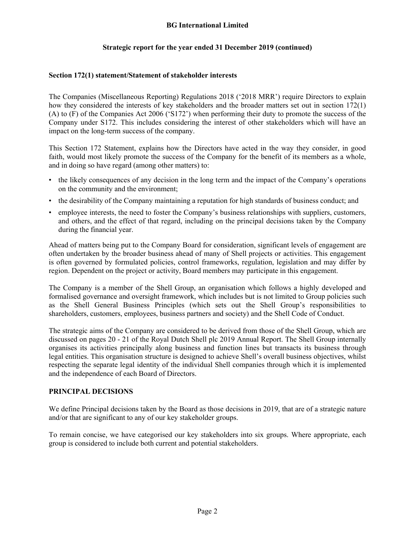# **BG International Limited**

# **Strategic report for the year ended 31 December 2019 (continued)**

#### **Section 172(1) statement/Statement of stakeholder interests**

The Companies (Miscellaneous Reporting) Regulations 2018 ('2018 MRR') require Directors to explain how they considered the interests of key stakeholders and the broader matters set out in section 172(1) (A) to (F) of the Companies Act 2006 ('S172') when performing their duty to promote the success of the Company under S172. This includes considering the interest of other stakeholders which will have an impact on the long-term success of the company.

This Section 172 Statement, explains how the Directors have acted in the way they consider, in good faith, would most likely promote the success of the Company for the benefit of its members as a whole, and in doing so have regard (among other matters) to:

- the likely consequences of any decision in the long term and the impact of the Company's operations on the community and the environment;
- the desirability of the Company maintaining a reputation for high standards of business conduct; and
- employee interests, the need to foster the Company's business relationships with suppliers, customers, and others, and the effect of that regard, including on the principal decisions taken by the Company during the financial year.

Ahead of matters being put to the Company Board for consideration, significant levels of engagement are often undertaken by the broader business ahead of many of Shell projects or activities. This engagement is often governed by formulated policies, control frameworks, regulation, legislation and may differ by region. Dependent on the project or activity, Board members may participate in this engagement.

The Company is a member of the Shell Group, an organisation which follows a highly developed and formalised governance and oversight framework, which includes but is not limited to Group policies such as the Shell General Business Principles (which sets out the Shell Group's responsibilities to shareholders, customers, employees, business partners and society) and the Shell Code of Conduct.

The strategic aims of the Company are considered to be derived from those of the Shell Group, which are discussed on pages 20 - 21 of the Royal Dutch Shell plc 2019 Annual Report. The Shell Group internally organises its activities principally along business and function lines but transacts its business through legal entities. This organisation structure is designed to achieve Shell's overall business objectives, whilst respecting the separate legal identity of the individual Shell companies through which it is implemented and the independence of each Board of Directors.

### **PRINCIPAL DECISIONS**

We define Principal decisions taken by the Board as those decisions in 2019, that are of a strategic nature and/or that are significant to any of our key stakeholder groups.

To remain concise, we have categorised our key stakeholders into six groups. Where appropriate, each group is considered to include both current and potential stakeholders.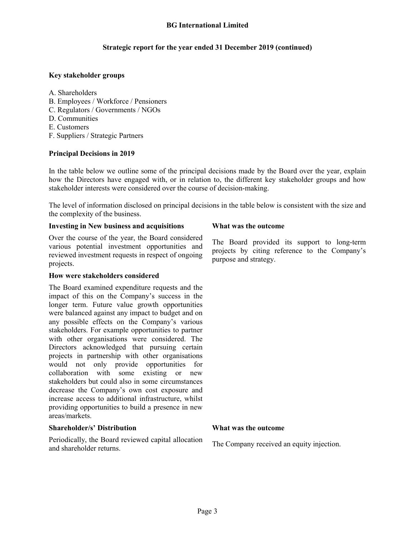# **Strategic report for the year ended 31 December 2019 (continued)**

# **Key stakeholder groups**

- A. Shareholders
- B. Employees / Workforce / Pensioners
- C. Regulators / Governments / NGOs
- D. Communities
- E. Customers
- F. Suppliers / Strategic Partners

### **Principal Decisions in 2019**

In the table below we outline some of the principal decisions made by the Board over the year, explain how the Directors have engaged with, or in relation to, the different key stakeholder groups and how stakeholder interests were considered over the course of decision-making.

The level of information disclosed on principal decisions in the table below is consistent with the size and the complexity of the business.

### **Investing in New business and acquisitions What was the outcome**

Over the course of the year, the Board considered various potential investment opportunities and reviewed investment requests in respect of ongoing projects.

### **How were stakeholders considered**

The Board examined expenditure requests and the impact of this on the Company's success in the longer term. Future value growth opportunities were balanced against any impact to budget and on any possible effects on the Company's various stakeholders. For example opportunities to partner with other organisations were considered. The Directors acknowledged that pursuing certain projects in partnership with other organisations would not only provide opportunities for collaboration with some existing or new stakeholders but could also in some circumstances decrease the Company's own cost exposure and increase access to additional infrastructure, whilst providing opportunities to build a presence in new areas/markets.

# **Shareholder/s' Distribution What was the outcome**

Periodically, the Board reviewed capital allocation The Company received an equity injection.<br>and shareholder returns.

The Board provided its support to long-term projects by citing reference to the Company's purpose and strategy.